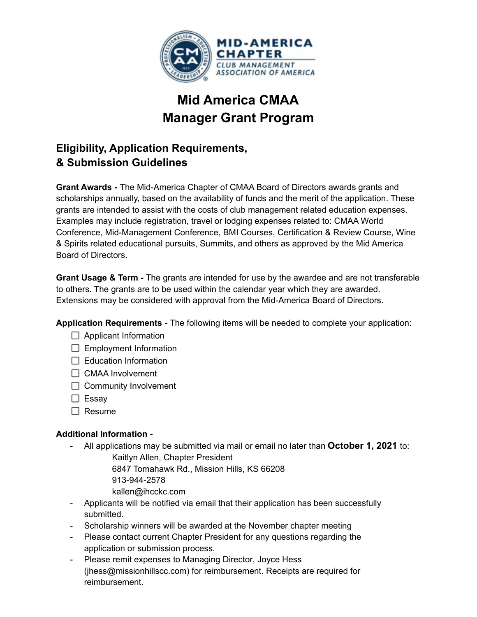

# **Mid America CMAA Manager Grant Program**

## **Eligibility, Application Requirements, & Submission Guidelines**

**Grant Awards -** The Mid-America Chapter of CMAA Board of Directors awards grants and scholarships annually, based on the availability of funds and the merit of the application. These grants are intended to assist with the costs of club management related education expenses. Examples may include registration, travel or lodging expenses related to: CMAA World Conference, Mid-Management Conference, BMI Courses, Certification & Review Course, Wine & Spirits related educational pursuits, Summits, and others as approved by the Mid America Board of Directors.

**Grant Usage & Term -** The grants are intended for use by the awardee and are not transferable to others. The grants are to be used within the calendar year which they are awarded. Extensions may be considered with approval from the Mid-America Board of Directors.

**Application Requirements -** The following items will be needed to complete your application:

- $\Box$  Applicant Information
- $\Box$  Employment Information
- $\Box$  Education Information
- □ CMAA Involvement
- $\Box$  Community Involvement
- $\square$  Essay
- $\Box$  Resume

#### **Additional Information -**

- All applications may be submitted via mail or email no later than **October 1, 2021** to: Kaitlyn Allen, Chapter President

> 6847 Tomahawk Rd., Mission Hills, KS 66208 913-944-2578

- kallen@ihcckc.com
- Applicants will be notified via email that their application has been successfully submitted.
- Scholarship winners will be awarded at the November chapter meeting
- Please contact current Chapter President for any questions regarding the application or submission process.
- Please remit expenses to Managing Director, Joyce Hess (jhess@missionhillscc.com) for reimbursement. Receipts are required for reimbursement.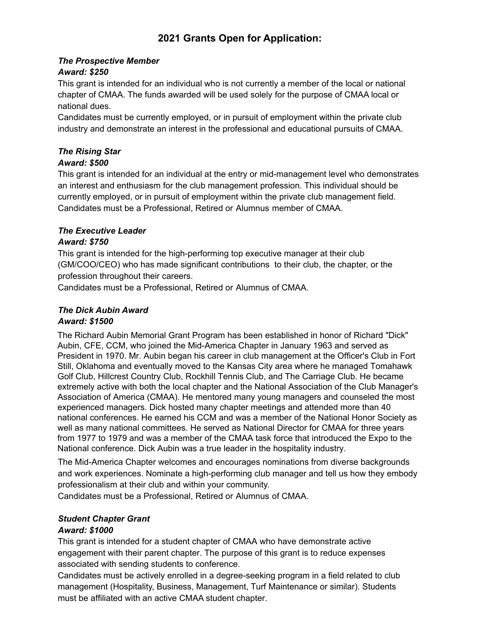### **2021 Grants Open for Application:**

#### *The Prospective Member*

#### *Award: \$250*

This grant is intended for an individual who is not currently a member of the local or national chapter of CMAA. The funds awarded will be used solely for the purpose of CMAA local or national dues.

Candidates must be currently employed, or in pursuit of employment within the private club industry and demonstrate an interest in the professional and educational pursuits of CMAA.

### *The Rising Star*

#### *Award: \$500*

This grant is intended for an individual at the entry or mid-management level who demonstrates an interest and enthusiasm for the club management profession. This individual should be currently employed, or in pursuit of employment within the private club management field. Candidates must be a Professional, Retired or Alumnus member of CMAA.

#### *The Executive Leader*

#### *Award: \$750*

This grant is intended for the high-performing top executive manager at their club (GM/COO/CEO) who has made significant contributions to their club, the chapter, or the profession throughout their careers.

Candidates must be a Professional, Retired or Alumnus of CMAA.

#### *The Dick Aubin Award Award: \$1500*

The Richard Aubin Memorial Grant Program has been established in honor of Richard "Dick" Aubin, CFE, CCM, who joined the Mid-America Chapter in January 1963 and served as President in 1970. Mr. Aubin began his career in club management at the Officer's Club in Fort Still, Oklahoma and eventually moved to the Kansas City area where he managed Tomahawk Golf Club, Hillcrest Country Club, Rockhill Tennis Club, and The Carriage Club. He became extremely active with both the local chapter and the National Association of the Club Manager's Association of America (CMAA). He mentored many young managers and counseled the most experienced managers. Dick hosted many chapter meetings and attended more than 40 national conferences. He earned his CCM and was a member of the National Honor Society as well as many national committees. He served as National Director for CMAA for three years from 1977 to 1979 and was a member of the CMAA task force that introduced the Expo to the National conference. Dick Aubin was a true leader in the hospitality industry.

The Mid-America Chapter welcomes and encourages nominations from diverse backgrounds and work experiences. Nominate a high-performing club manager and tell us how they embody professionalism at their club and within your community.

Candidates must be a Professional, Retired or Alumnus of CMAA.

#### *Student Chapter Grant*

#### *Award: \$1000*

This grant is intended for a student chapter of CMAA who have demonstrate active engagement with their parent chapter. The purpose of this grant is to reduce expenses associated with sending students to conference.

Candidates must be actively enrolled in a degree-seeking program in a field related to club management (Hospitality, Business, Management, Turf Maintenance or similar). Students must be affiliated with an active CMAA student chapter.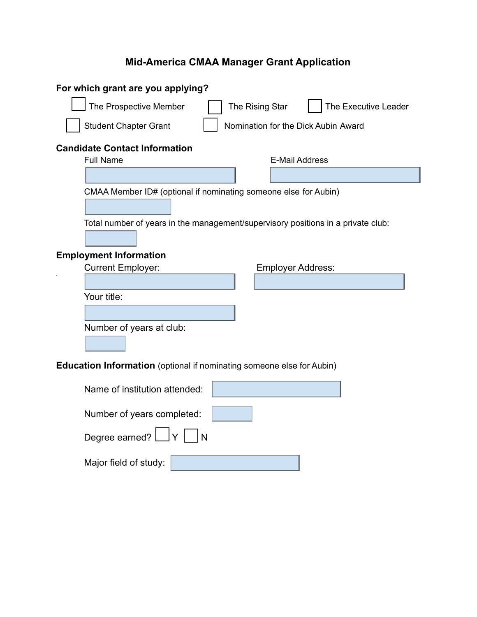## **Mid-America CMAA Manager Grant Application**

| For which grant are you applying?                                                |
|----------------------------------------------------------------------------------|
| The Prospective Member<br>The Executive Leader<br>The Rising Star                |
| <b>Student Chapter Grant</b><br>Nomination for the Dick Aubin Award              |
| <b>Candidate Contact Information</b>                                             |
| <b>Full Name</b><br><b>E-Mail Address</b>                                        |
|                                                                                  |
| CMAA Member ID# (optional if nominating someone else for Aubin)                  |
|                                                                                  |
| Total number of years in the management/supervisory positions in a private club: |
|                                                                                  |
| <b>Employment Information</b>                                                    |
| <b>Current Employer:</b><br><b>Employer Address:</b>                             |
|                                                                                  |
| Your title:                                                                      |
|                                                                                  |
| Number of years at club:                                                         |
|                                                                                  |
| <b>Education Information</b> (optional if nominating someone else for Aubin)     |
|                                                                                  |
| Name of institution attended:                                                    |
| Number of years completed:                                                       |
| Degree earned? L<br>١N                                                           |
| Major field of study:                                                            |